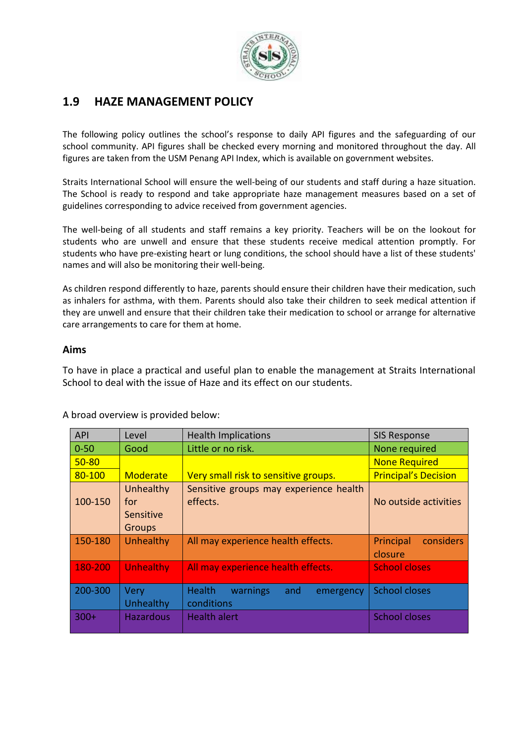

# **1.9 HAZE MANAGEMENT POLICY**

The following policy outlines the school's response to daily API figures and the safeguarding of our school community. API figures shall be checked every morning and monitored throughout the day. All figures are taken from the USM Penang API Index, which is available on government websites.

Straits International School will ensure the well-being of our students and staff during a haze situation. The School is ready to respond and take appropriate haze management measures based on a set of guidelines corresponding to advice received from government agencies.

The well-being of all students and staff remains a key priority. Teachers will be on the lookout for students who are unwell and ensure that these students receive medical attention promptly. For students who have pre-existing heart or lung conditions, the school should have a list of these students' names and will also be monitoring their well-being.

As children respond differently to haze, parents should ensure their children have their medication, such as inhalers for asthma, with them. Parents should also take their children to seek medical attention if they are unwell and ensure that their children take their medication to school or arrange for alternative care arrangements to care for them at home.

#### **Aims**

To have in place a practical and useful plan to enable the management at Straits International School to deal with the issue of Haze and its effect on our students.

| <b>API</b> | Level                                          | <b>Health Implications</b>                                  | <b>SIS Response</b>               |
|------------|------------------------------------------------|-------------------------------------------------------------|-----------------------------------|
| $0 - 50$   | Good                                           | Little or no risk.                                          | None required                     |
| $50 - 80$  |                                                |                                                             | <b>None Required</b>              |
| 80-100     | Moderate                                       | Very small risk to sensitive groups.                        | <b>Principal's Decision</b>       |
| 100-150    | Unhealthy<br>for<br>Sensitive<br><b>Groups</b> | Sensitive groups may experience health<br>effects.          | No outside activities             |
| 150-180    | Unhealthy                                      | All may experience health effects.                          | Principal<br>considers<br>closure |
| 180-200    | <b>Unhealthy</b>                               | All may experience health effects.                          | <b>School closes</b>              |
| 200-300    | Very<br>Unhealthy                              | <b>Health</b><br>warnings<br>and<br>emergency<br>conditions | <b>School closes</b>              |
| $300+$     | <b>Hazardous</b>                               | <b>Health alert</b>                                         | <b>School closes</b>              |

A broad overview is provided below: